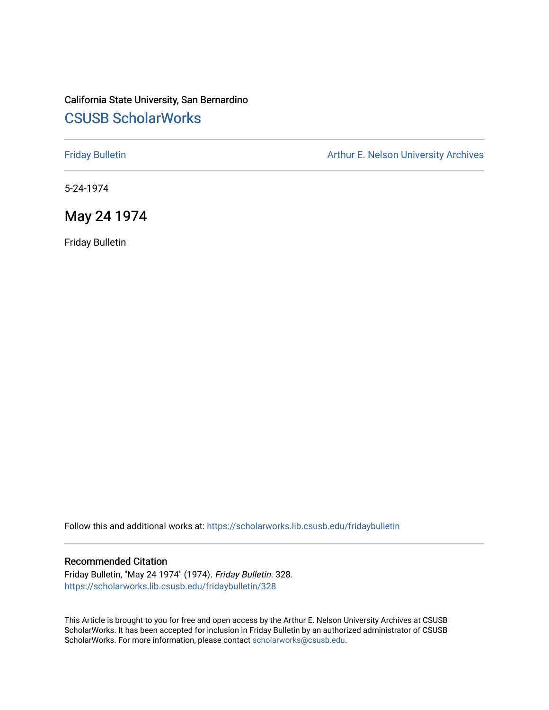# California State University, San Bernardino [CSUSB ScholarWorks](https://scholarworks.lib.csusb.edu/)

[Friday Bulletin](https://scholarworks.lib.csusb.edu/fridaybulletin) **Arthur E. Nelson University Archives** Arthur E. Nelson University Archives

5-24-1974

# May 24 1974

Friday Bulletin

Follow this and additional works at: [https://scholarworks.lib.csusb.edu/fridaybulletin](https://scholarworks.lib.csusb.edu/fridaybulletin?utm_source=scholarworks.lib.csusb.edu%2Ffridaybulletin%2F328&utm_medium=PDF&utm_campaign=PDFCoverPages)

### Recommended Citation

Friday Bulletin, "May 24 1974" (1974). Friday Bulletin. 328. [https://scholarworks.lib.csusb.edu/fridaybulletin/328](https://scholarworks.lib.csusb.edu/fridaybulletin/328?utm_source=scholarworks.lib.csusb.edu%2Ffridaybulletin%2F328&utm_medium=PDF&utm_campaign=PDFCoverPages)

This Article is brought to you for free and open access by the Arthur E. Nelson University Archives at CSUSB ScholarWorks. It has been accepted for inclusion in Friday Bulletin by an authorized administrator of CSUSB ScholarWorks. For more information, please contact [scholarworks@csusb.edu.](mailto:scholarworks@csusb.edu)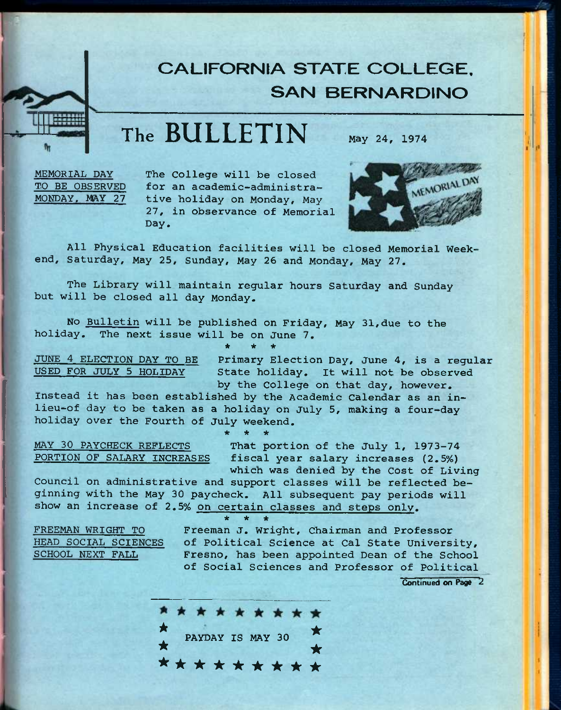# **CALIFORNIA STATE COLLEGE. SAN BERNARDINO**

**The BULLETIN** May *24,* <sup>1974</sup>

MEMORIAL DAY TO BE OBSERVED MONDAY. MAY 27

The College will be closed for an academic-administrative holiday on Monday, May *27,* in observance of Memorial Day.



All Physical Education facilities will be closed Memorial Weekend, Saturday, May 25, Sunday, May 26 and Monday, May 27.

The Library will maintain regular hours Saturday and Sunday but will be closed all day Monday.

No Bulletin will be published on Friday, May 31,due to the holiday. The next issue will be on June 7. **\* \* \*** 

JUNE 4 ELECTION DAY TO BE USED FOR JULY 5 HOLIDAY

Primary Election Day, June 4, is a regular State holiday. It will not be observed by the College on that day, however.

Instead it has been established by the Academic Calendar as an inlieu-of day to be taken as a holiday on July 5, making a four-day holiday over the Fourth of July weekend.

**\* \* \*** 

MAY 30 PAYCHECK REFLECTS<br>PORTION OF SALARY INCREASES fiscal year salary increases (2.5%) fiscal year salary increases (2.5%) which was denied by the Cost of Living

Council on administrative and support classes will be reflected beginning with the May 30 paycheck. All subsequent pay periods will show an increase of 2,5% on certain classes and steps only.

FREEMAN WRIGHT TO HEAD SOCIAL SCIENCES SCHOOL NEXT FALL

**\* \* \***  Freeman j. Wright, Chairman and Professor of Political Science at Cal State University, Fresno, has been appointed Dean of the School of Social Sciences and Professor of Political

Continued on Page 2

\* \* \* \* \* \* \* \* \* \*<br>PAYDAY IS MAY 30 **\*** PAYDAY IS MAY 30  $\star$ \*\*\*\*\*\*\*\*\*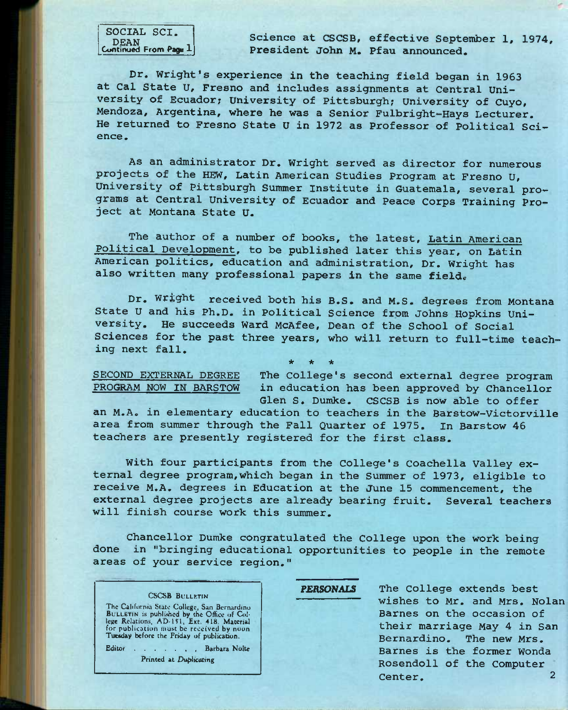SOCIAL SCI. DEAN<br>Continued From Page 1

Science at CSCSB, effective September 1, 1974, President John M. Pfau announced.

Dr. Wright's experience in the teaching field began in 1963 at Cal state U, Fresno and includes assignments at Central University of Ecuador; University of Pittsburgh; University of Cuyo, Mendoza, Argentina, where he was a Senior Fulbright-Hays Lecturer, He returned to Fresno State U in 1972 as Professor of Political Science.

As an administrator Dr. Wright served as director for numerous projects of the HEW, Latin American Studies Program at Fresno U, University of Pittsburgh Summer Institute in Guatemala, several programs at Central University of Ecuador and Peace Corps Training Project at Montana State U,

The author of a number of books, the latest, Latin American Political Development, to be published later this year, on Latin American politics, education and administration. Dr. Wright has also written many professional papers in the same field.

Dr. Wright received both his B.S. and M.S. degrees from Montana State U and his Ph.D. in Political Science from Johns Hopkins University. He succeeds Ward McAfee, Dean of the School of Social Sciences for the past three years, who will return to full-time teaching next fall. *\* ic ie* 

SECOND EXTERNAL DEGREE The College's second external degree program PROGRAM NOW IN BARSTOW in education has been approved by Chancellor Glen S. Dumke. CSCSB is now able to offer

an M.A. in elementary education to teachers in the Barstow-Victorville area from summer through the Fall Quarter of 1975. in Barstow 46 teachers are presently registered for the first class.

With four participants from the College's Coachella Valley external degree program,which began in the Summer of 1973, eligible to receive M.A. degrees in Education at the June 15 commencement, the external degree projects are already bearing fruit. Several teachers will finish course work this summer.

Chancellor Dumke congratulated the College upon the work being done in "bringing educational opportunities to people in the remote areas of your service region."

### CSCSB BULLRTIN

The California State College, San Bernardino<br>BULLETIN is published by the Office of College Relations, AD-151, Ext. 418. Material<br>for publication must be received by noon<br>Tuesday before the Friday of publication.

Editor . . . . . , Barbara Nolte **Printed at Duplicating** 

PERSONALS The College extends best wishes to Mr. and Mrs. Nolan Barnes on the occasion of their marriage May 4 in San<br>Bernardino. The new Mrs. The new Mrs. Barnes is the former Wonda Rosendoll of the Computer Center. 2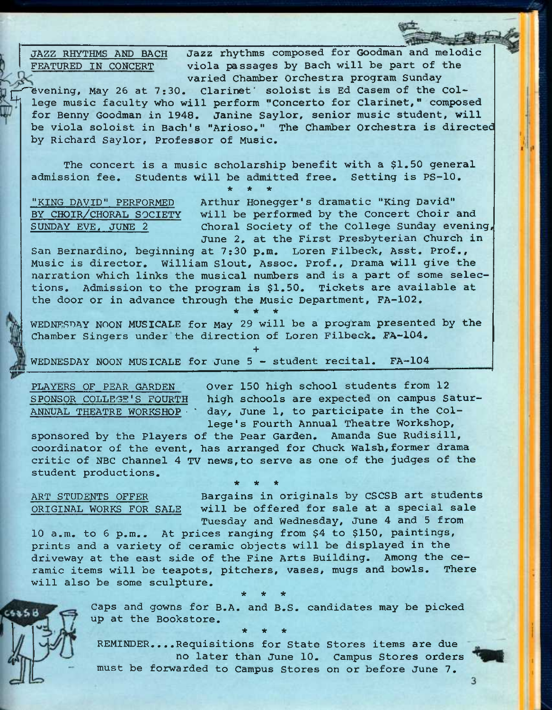JAZZ RHYTHMS AND BACH FEATURED IN CONCERT

Jazz rhythms composed for Goodman and melodic viola passages by Bach will be part of the varied Chamber Orchestra program Sunday

evening, May 26 at 7:30. Clarinet' soloist is Ed Casem of the College music faculty who will perform "Concerto for Clarinet," composed for Benny Goodman in 1948. Janine Saylor, senior music student, will be viola soloist in Bach's "Arioso," The Chamber Orchestra is directed by Richard Saylor, Professor of Music.

The concert is a music scholarship benefit with a \$1.50 general admission fee. Students will be admitted free. Setting is PS-10. **\* \* \*** 

"KING DAVID" PERFORMED SUNDAY EVE. JUNE 2

BY CHOIR/CHORAL SOCIETY will be performed by the Concert Choir and Arthur Honegger's dramatic "King David" \_ choral Society of the college Sunday evening, June 2, at the First Presbyterian church in

San Bernardino, beginning at 7:30 p.m. Loren Filbeck, Asst. Prof., Music is director, William Slout, Assoc. Prof., Drama will give the narration which links the musical numbers and is a part of some selections. Admission to the program is \$1.50. Tickets are available at the door or in advance through the Music Department, FA-102.

**\* \* \*** 

WEDNESDAY NOON MUSICALE for May 29 will be a program presented by the Chamber Singers under the direction of Loren Filbeck. FA-104.

**+** 

WEDNESDAY NOON MUSICALE for June 5 - student recital. FA-104

PLAYERS OF PEAR GARDEN Over 150 high school students from 12 SPONSOR COLLEGE'S FOURTH high schools are expected on campus Satur-ANNUAL THEATRE WORKSHOP • ' day, June 1, to participate in the College 's Fourth Annual Theatre Workshop,

sponsored by the Players of the Pear Garden. Amanda Sue Rudisill, coordinator of the event, has arranged for Chuck Walsh, former drama critic of NBC Channel 4 TV news,to serve as one of the judges of the student productions. **\* \* \*** 

ART STUDENTS OFFER Bargains in originals by CSCSB art students ORIGINAL WORKS FOR SALE will be offered for sale at a special sale Tuesday and Wednesday, June 4 and 5 from

10 a.m. to 6 p.m.. At prices ranging from \$4 to \$150, paintings, prints and a variety of ceramic objects will be displayed in the driveway at the east side of the Fine Arts Building. Among the ceramic items will be teapots, pitchers, vases, mugs and bowls. There will also be some sculpture. *\* it \** 

> Caps and gowns for B.A. and B.S. candidates may be picked up at the Bookstore. **\* \* \***

> REMINDER....Requisitions for State Stores items are due no later than June 10. Campus Stores orders must be forwarded to Campus Stores on or before June 7.

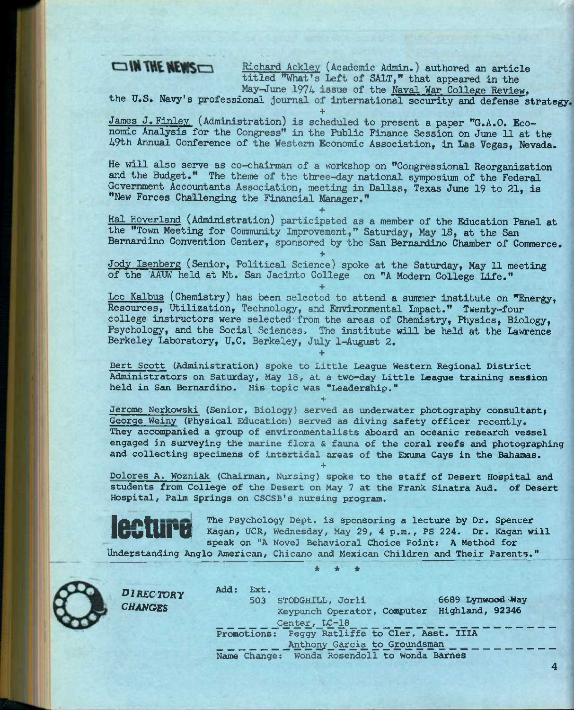# OIN THE NEWS

Richard Ackley (Academic Admin.) authored an article titled ''What's Left of SALT," that appeared in the May-June 1974 issue of the Naval War College Review,

the U.S. Navy's professional journal of international security and defense strategy

**+**  James J. Finley (Administration) is scheduled to present a paper "G.A.O. Economic Analysis for the Congress" in the Public Finance Session on June 11 at the 49th Annual Conference of the Western Economic Association, in Las Vegas, Nevada.

He will also serve as co-chairman of a workshop on "Congressional Reorganization and the Budget." The theme of the three-day national symposium of the Federal Government Accountants Association, meeting in Dallas, Texas June 19 to 21, is "New Forces Challenging the Financial Manager."

**+**  Hal Hoverland (Administration) participated as a member of the Education Panel at the "Town Meeting for Community Improvement," Saturday, May 18, at the San Bernardino Convention Center, sponsored by the San Bernardino Chamber of Commerce.

**+**  Jody Isenberg (Senior, Political Science) spoke at the Saturday, May 11 meeting of the AADW held at Mt. San Jacinto College on "A Modem College Life."

**+** 

Lee Kalbus (Chemistry) has been selected to attend a summer institute on "Energy, Resources, Utilization, Technology, and Environmental Impact." Twenty-four college instructors were selected from the areas of Chemistry, Physics, Biology, Psychology, and the Social Sciences. The institute will be held at the Lawrence Berkeley Laboratory, U.C. Berkeley, July 1-August 2.

**Bert Scott (Administration) spoke to Little League Western Regional District Administrators on Saturday, May 18, at a two^day Little League training session**  held in San Bernardino. His topic was "Leadership."

**+** 

**+** 

**+** 

Jerome Nerkowski (Senior, Biology) served as underwater photography consultant; **George Weiny (Physical Education) served as diving safety officer recently. They accompanied a group of environmentalists aboard an oceanic research vessel engaged in surveying the marine flora & fauna of the coral reefs and photographing and collecting specimens of intertidal areas of the Exuma Cays in the Bahamas.** 

Dolores A. Wozniak (Chairman, Nursing) spoke to the staff of Desert Hospital and **students from College of the Desert on May 7 at the Frank Sinatra Aud. of Desert**  Hospital, Palm Springs on CSCSB's nursing program.



*DiRECTORy CHANGES* 

The Psychology Dept. is sponsoring a lecture by Dr. Spencer Kagan, UCR, Wednesday, May 29, 4 p.m., PS 224. Dr. Kagan will **speak on "A Novel Behavioral Choice Point: A Method for** 

Understanding Anglo American, Chicano and Mexican Children and Their Parents."

*\* \* \** 



**Add: Ext. 503 STODGHILL, Jorli 6689 Lynwood-Way Keypunch Operator, Computer Highland, 92346**  Center, LC-18 **Promotions: Peggy Ratliffe to Cler. Asst. IIIA**  Anthony Garcia to Groundsman **Name Change: Wonda Rosendoll to Wonda Barnes** 

**4**